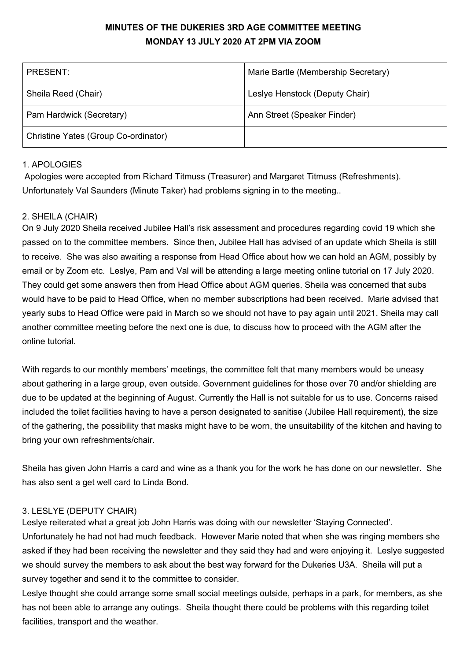# **MINUTES OF THE DUKERIES 3RD AGE COMMITTEE MEETING MONDAY 13 JULY 2020 AT 2PM VIA ZOOM**

| PRESENT:                             | Marie Bartle (Membership Secretary) |
|--------------------------------------|-------------------------------------|
| Sheila Reed (Chair)                  | Leslye Henstock (Deputy Chair)      |
| Pam Hardwick (Secretary)             | Ann Street (Speaker Finder)         |
| Christine Yates (Group Co-ordinator) |                                     |

# 1. APOLOGIES

Apologies were accepted from Richard Titmuss (Treasurer) and Margaret Titmuss (Refreshments). Unfortunately Val Saunders (Minute Taker) had problems signing in to the meeting..

# 2. SHEILA (CHAIR)

On 9 July 2020 Sheila received Jubilee Hall's risk assessment and procedures regarding covid 19 which she passed on to the committee members. Since then, Jubilee Hall has advised of an update which Sheila is still to receive. She was also awaiting a response from Head Office about how we can hold an AGM, possibly by email or by Zoom etc. Leslye, Pam and Val will be attending a large meeting online tutorial on 17 July 2020. They could get some answers then from Head Office about AGM queries. Sheila was concerned that subs would have to be paid to Head Office, when no member subscriptions had been received. Marie advised that yearly subs to Head Office were paid in March so we should not have to pay again until 2021. Sheila may call another committee meeting before the next one is due, to discuss how to proceed with the AGM after the online tutorial.

With regards to our monthly members' meetings, the committee felt that many members would be uneasy about gathering in a large group, even outside. Government guidelines for those over 70 and/or shielding are due to be updated at the beginning of August. Currently the Hall is not suitable for us to use. Concerns raised included the toilet facilities having to have a person designated to sanitise (Jubilee Hall requirement), the size of the gathering, the possibility that masks might have to be worn, the unsuitability of the kitchen and having to bring your own refreshments/chair.

Sheila has given John Harris a card and wine as a thank you for the work he has done on our newsletter. She has also sent a get well card to Linda Bond.

### 3. LESLYE (DEPUTY CHAIR)

Leslye reiterated what a great job John Harris was doing with our newsletter 'Staying Connected'. Unfortunately he had not had much feedback. However Marie noted that when she was ringing members she asked if they had been receiving the newsletter and they said they had and were enjoying it. Leslye suggested we should survey the members to ask about the best way forward for the Dukeries U3A. Sheila will put a survey together and send it to the committee to consider.

Leslye thought she could arrange some small social meetings outside, perhaps in a park, for members, as she has not been able to arrange any outings. Sheila thought there could be problems with this regarding toilet facilities, transport and the weather.